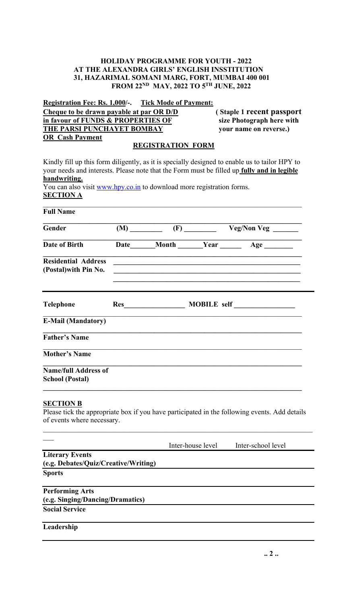## **HOLIDAY PROGRAMME FOR YOUTH - 2022 AT THE ALEXANDRA GIRLS' ENGLISH INSSTITUTION 31, HAZARIMAL SOMANI MARG, FORT, MUMBAI 400 001 FROM 22ND MAY, 2022 TO 5TH JUNE, 2022**

**Registration Fee: Rs. 1,000/-. Tick Mode of Payment:**

**Cheque to be drawn payable at par OR D/D** (Staple 1 recent passport in favour of FUNDS & PROPERTIES OF size Photograph here with **in favour of FUNDS & PROPERTIES OF THE PARSI PUNCHAYET BOMBAY** your name on reverse.) **OR Cash Payment** 

## **REGISTRATION FORM**

Kindly fill up this form diligently, as it is specially designed to enable us to tailor HPY to your needs and interests. Please note that the Form must be filled up **fully and in legible handwriting.**

You can also visit www.hpy.co.in to download more registration forms. **SECTION A**

| <b>Full Name</b>                                               |  |                   |                                                                                               |
|----------------------------------------------------------------|--|-------------------|-----------------------------------------------------------------------------------------------|
| Gender                                                         |  |                   | $(M)$ $\qquad \qquad$ $(F)$ $\qquad \qquad$ $Veg/Non Veg$ $\qquad \qquad$                     |
| <b>Date of Birth</b>                                           |  |                   | Date Month Year Age                                                                           |
| <b>Residential Address</b><br>(Postal) with Pin No.            |  |                   |                                                                                               |
| <b>Telephone</b>                                               |  |                   | Res MOBILE self                                                                               |
| <b>E-Mail (Mandatory)</b>                                      |  |                   |                                                                                               |
| <b>Father's Name</b>                                           |  |                   |                                                                                               |
| <b>Mother's Name</b>                                           |  |                   |                                                                                               |
| <b>Name/full Address of</b><br><b>School (Postal)</b>          |  |                   |                                                                                               |
| <b>SECTION B</b><br>of events where necessary.                 |  |                   | Please tick the appropriate box if you have participated in the following events. Add details |
|                                                                |  | Inter-house level | Inter-school level                                                                            |
| <b>Literary Events</b><br>(e.g. Debates/Quiz/Creative/Writing) |  |                   |                                                                                               |
| <b>Sports</b>                                                  |  |                   |                                                                                               |
| <b>Performing Arts</b>                                         |  |                   |                                                                                               |
| (e.g. Singing/Dancing/Dramatics)                               |  |                   |                                                                                               |
| <b>Social Service</b>                                          |  |                   |                                                                                               |
| Leadership                                                     |  |                   |                                                                                               |